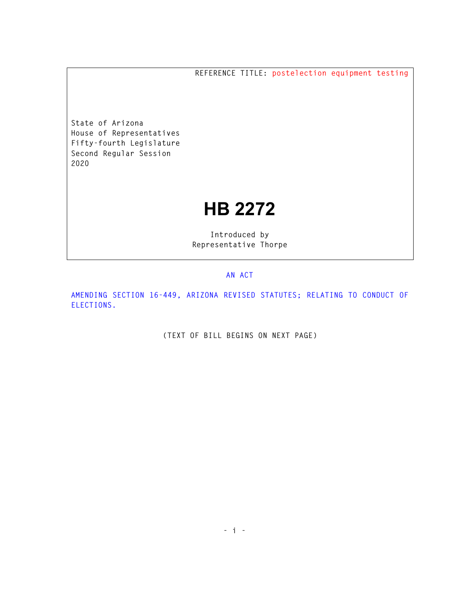**REFERENCE TITLE: postelection equipment testing** 

**State of Arizona House of Representatives Fifty-fourth Legislature Second Regular Session 2020** 

## **HB 2272**

**Introduced by Representative Thorpe** 

## **AN ACT**

**AMENDING SECTION 16-449, ARIZONA REVISED STATUTES; RELATING TO CONDUCT OF ELECTIONS.** 

**(TEXT OF BILL BEGINS ON NEXT PAGE)**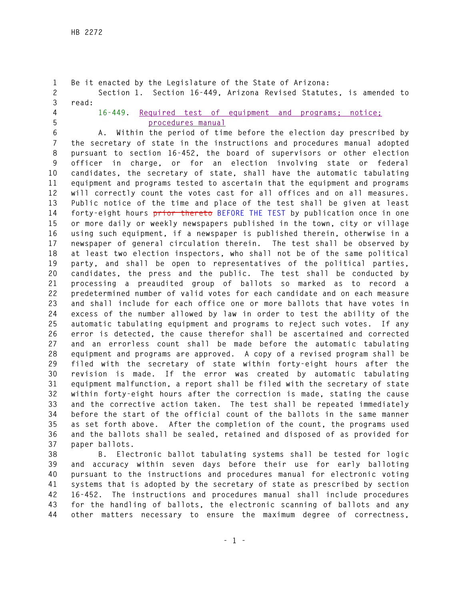```
1 Be it enacted by the Legislature of the State of Arizona: 
2 Section 1. Section 16-449, Arizona Revised Statutes, is amended to 
3 read: 
4 16-449. Required test of equipment and programs; notice; 
5 procedures manual
6 A. Within the period of time before the election day prescribed by 
7 the secretary of state in the instructions and procedures manual adopted 
8 pursuant to section 16-452, the board of supervisors or other election 
9 officer in charge, or for an election involving state or federal 
10 candidates, the secretary of state, shall have the automatic tabulating 
11 equipment and programs tested to ascertain that the equipment and programs 
12 will correctly count the votes cast for all offices and on all measures. 
13 Public notice of the time and place of the test shall be given at least 
14 forty-eight hours prior thereto BEFORE THE TEST by publication once in one 
15 or more daily or weekly newspapers published in the town, city or village 
16 using such equipment, if a newspaper is published therein, otherwise in a 
17 newspaper of general circulation therein. The test shall be observed by 
18 at least two election inspectors, who shall not be of the same political 
19 party, and shall be open to representatives of the political parties, 
20 candidates, the press and the public. The test shall be conducted by 
21 processing a preaudited group of ballots so marked as to record a 
22 predetermined number of valid votes for each candidate and on each measure 
23 and shall include for each office one or more ballots that have votes in 
24 excess of the number allowed by law in order to test the ability of the 
25 automatic tabulating equipment and programs to reject such votes. If any 
26 error is detected, the cause therefor shall be ascertained and corrected 
27 and an errorless count shall be made before the automatic tabulating 
28 equipment and programs are approved. A copy of a revised program shall be 
29 filed with the secretary of state within forty-eight hours after the 
30 revision is made. If the error was created by automatic tabulating 
31 equipment malfunction, a report shall be filed with the secretary of state 
32 within forty-eight hours after the correction is made, stating the cause 
33 and the corrective action taken. The test shall be repeated immediately 
34 before the start of the official count of the ballots in the same manner 
35 as set forth above. After the completion of the count, the programs used 
36 and the ballots shall be sealed, retained and disposed of as provided for 
37 paper ballots. 
38 B. Electronic ballot tabulating systems shall be tested for logic
```
**39 and accuracy within seven days before their use for early balloting 40 pursuant to the instructions and procedures manual for electronic voting 41 systems that is adopted by the secretary of state as prescribed by section 42 16-452. The instructions and procedures manual shall include procedures 43 for the handling of ballots, the electronic scanning of ballots and any 44 other matters necessary to ensure the maximum degree of correctness,**